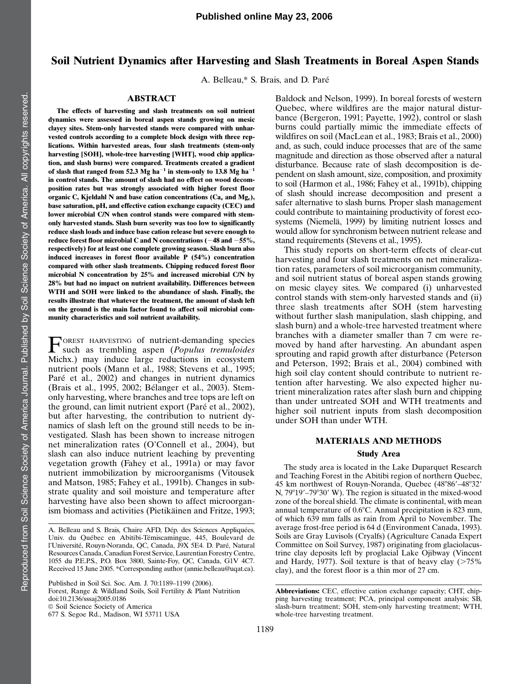# Soil Nutrient Dynamics after Harvesting and Slash Treatments in Boreal Aspen Stands

A. Belleau,\* S. Brais, and D. Paré

# ABSTRACT

The effects of harvesting and slash treatments on soil nutrient dynamics were assessed in boreal aspen stands growing on mesic clayey sites. Stem-only harvested stands were compared with unharvested controls according to a complete block design with three replications. Within harvested areas, four slash treatments (stem-only harvesting [SOH], whole-tree harvesting [WHT], wood chip application, and slash burns) were compared. Treatments created a gradient of slash that ranged from 52.3 Mg ha<sup>-1</sup> in stem-only to 13.8 Mg ha<sup>-1</sup> in control stands. The amount of slash had no effect on wood decomposition rates but was strongly associated with higher forest floor organic C, Kjeldahl N and base cation concentrations  $(Ca_e$  and  $Mg_e$ ), base saturation, pH, and effective cation exchange capacity (CEC) and lower microbial C/N when control stands were compared with stemonly harvested stands. Slash burn severity was too low to significantly reduce slash loads and induce base cation release but severe enough to reduce forest floor microbial C and N concentrations ( $-48$  and  $-55\%$ , respectively) for at least one complete growing season. Slash burn also induced increases in forest floor available P (54%) concentration compared with other slash treatments. Chipping reduced forest floor microbial N concentration by 25% and increased microbial C/N by 28% but had no impact on nutrient availability. Differences between WTH and SOH were linked to the abundance of slash. Finally, the results illustrate that whatever the treatment, the amount of slash left on the ground is the main factor found to affect soil microbial community characteristics and soil nutrient availability.

FOREST HARVESTING of nutrient-demanding species<br>such as trembling aspen (Populus tremuloides Michx.) may induce large reductions in ecosystem nutrient pools (Mann et al., 1988; Stevens et al., 1995; Paré et al., 2002) and changes in nutrient dynamics (Brais et al., 1995, 2002; Bélanger et al., 2003). Stemonly harvesting, where branches and tree tops are left on the ground, can limit nutrient export (Paré et al., 2002), but after harvesting, the contribution to nutrient dynamics of slash left on the ground still needs to be investigated. Slash has been shown to increase nitrogen net mineralization rates (O'Connell et al., 2004), but slash can also induce nutrient leaching by preventing vegetation growth (Fahey et al., 1991a) or may favor nutrient immobilization by microorganisms (Vitousek and Matson, 1985; Fahey et al., 1991b). Changes in substrate quality and soil moisture and temperature after harvesting have also been shown to affect microorganism biomass and activities (Pietikäinen and Fritze, 1993;

Forest, Range & Wildland Soils, Soil Fertility & Plant Nutrition doi:10.2136/sssaj2005.0186

677 S. Segoe Rd., Madison, WI 53711 USA

Baldock and Nelson, 1999). In boreal forests of western Quebec, where wildfires are the major natural disturbance (Bergeron, 1991; Payette, 1992), control or slash burns could partially mimic the immediate effects of wildfires on soil (MacLean et al., 1983; Brais et al., 2000) and, as such, could induce processes that are of the same magnitude and direction as those observed after a natural disturbance. Because rate of slash decomposition is dependent on slash amount, size, composition, and proximity to soil (Harmon et al., 1986; Fahey et al., 1991b), chipping of slash should increase decomposition and present a safer alternative to slash burns. Proper slash management could contribute to maintaining productivity of forest ecosystems (Niemelä, 1999) by limiting nutrient losses and would allow for synchronism between nutrient release and stand requirements (Stevens et al., 1995).

This study reports on short-term effects of clear-cut harvesting and four slash treatments on net mineralization rates, parameters of soil microorganism community, and soil nutrient status of boreal aspen stands growing on mesic clayey sites. We compared (i) unharvested control stands with stem-only harvested stands and (ii) three slash treatments after SOH (stem harvesting without further slash manipulation, slash chipping, and slash burn) and a whole-tree harvested treatment where branches with a diameter smaller than 7 cm were removed by hand after harvesting. An abundant aspen sprouting and rapid growth after disturbance (Peterson and Peterson, 1992; Brais et al., 2004) combined with high soil clay content should contribute to nutrient retention after harvesting. We also expected higher nutrient mineralization rates after slash burn and chipping than under untreated SOH and WTH treatments and higher soil nutrient inputs from slash decomposition under SOH than under WTH.

# MATERIALS AND METHODS Study Area

The study area is located in the Lake Duparquet Research and Teaching Forest in the Abitibi region of northern Quebec, 45 km northwest of Rouyn-Noranda, Quebec (48°86'-48°32' N, 79°19′-79°30′ W). The region is situated in the mixed-wood zone of the boreal shield. The climate is continental, with mean annual temperature of  $0.6^{\circ}$ C. Annual precipitation is 823 mm, of which 639 mm falls as rain from April to November. The average frost-free period is 64 d (Environment Canada, 1993). Soils are Gray Luvisols (Cryalfs) (Agriculture Canada Expert Committee on Soil Survey, 1987) originating from glaciolacustrine clay deposits left by proglacial Lake Ojibway (Vincent and Hardy, 1977). Soil texture is that of heavy clay  $(>\!\!75\!\!% )$ clay), and the forest floor is a thin mor of 27 cm.

A. Belleau and S. Brais, Chaire AFD, Dép. des Sciences Appliquées, Univ. du Québec en Abitibi-Témiscamingue, 445, Boulevard de l'Université, Rouyn-Noranda, QC, Canada, J9X 5E4. D. Paré, Natural Resources Canada, Canadian Forest Service, Laurentian Forestry Centre, 1055 du P.E.P.S., P.O. Box 3800, Sainte-Foy, QC, Canada, G1V 4C7. Received 15 June 2005. \*Corresponding author (annie.belleau@uqat.ca).

Published in Soil Sci. Soc. Am. J. 70:1189–1199 (2006).

 $\circledcirc$  Soil Science Society of America

Abbreviations: CEC, effective cation exchange capacity; CHT, chipping harvesting treatment; PCA, principal component analysis; SB, slash-burn treatment; SOH, stem-only harvesting treatment; WTH, whole-tree harvesting treatment.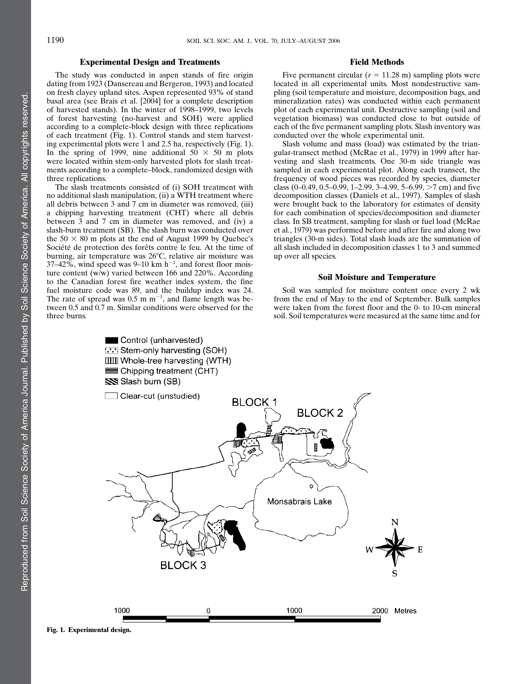# Experimental Design and Treatments

The study was conducted in aspen stands of fire origin dating from 1923 (Dansereau and Bergeron, 1993) and located on fresh clayey upland sites. Aspen represented 93% of stand basal area (see Brais et al. [2004] for a complete description of harvested stands). In the winter of 1998–1999, two levels of forest harvesting (no-harvest and SOH) were applied according to a complete-block design with three replications of each treatment (Fig. 1). Control stands and stem harvesting experimental plots were 1 and 2.5 ha, respectively (Fig. 1). In the spring of 1999, nine additional  $50 \times 50$  m plots were located within stem-only harvested plots for slash treatments according to a complete–block, randomized design with three replications.

The slash treatments consisted of (i) SOH treatment with no additional slash manipulation, (ii) a WTH treatment where all debris between 3 and 7 cm in diameter was removed, (iii) a chipping harvesting treatment (CHT) where all debris between 3 and 7 cm in diameter was removed, and (iv) a slash-burn treatment (SB). The slash burn was conducted over the  $50 \times 80$  m plots at the end of August 1999 by Quebec's Société de protection des forêts contre le feu. At the time of burning, air temperature was 26°C, relative air moisture was  $37-42\%$ , wind speed was 9–10 km h<sup>-1</sup>, and forest floor moisture content (w/w) varied between 166 and 220%. According to the Canadian forest fire weather index system, the fine fuel moisture code was 89, and the buildup index was 24. The rate of spread was  $0.5 \text{ m m}^{-1}$ , and flame length was between 0.5 and 0.7 m. Similar conditions were observed for the three burns.

Control (unharvested)

# Field Methods

Five permanent circular ( $r = 11.28$  m) sampling plots were located in all experimental units. Most nondestructive sampling (soil temperature and moisture, decomposition bags, and mineralization rates) was conducted within each permanent plot of each experimental unit. Destructive sampling (soil and vegetation biomass) was conducted close to but outside of each of the five permanent sampling plots. Slash inventory was conducted over the whole experimental unit.

Slash volume and mass (load) was estimated by the triangular-transect method (McRae et al., 1979) in 1999 after harvesting and slash treatments. One 30-m side triangle was sampled in each experimental plot. Along each transect, the frequency of wood pieces was recorded by species, diameter class  $(0-0.49, 0.5-0.99, 1-2.99, 3-4.99, 5-6.99, >7$  cm) and five decomposition classes (Daniels et al., 1997). Samples of slash were brought back to the laboratory for estimates of density for each combination of species/decomposition and diameter class. In SB treatment, sampling for slash or fuel load (McRae et al., 1979) was performed before and after fire and along two triangles (30-m sides). Total slash loads are the summation of all slash included in decomposition classes 1 to 3 and summed up over all species.

## Soil Moisture and Temperature

Soil was sampled for moisture content once every 2 wk from the end of May to the end of September. Bulk samples were taken from the forest floor and the 0- to 10-cm mineral soil. Soil temperatures were measured at the same time and for



Fig. 1. Experimental design.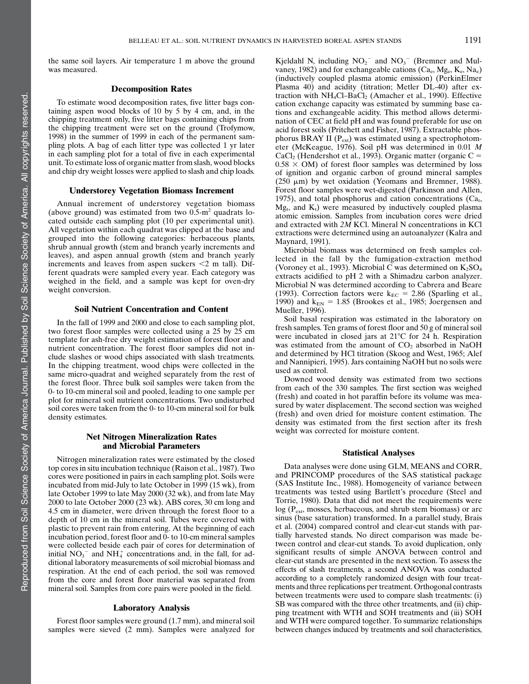To estimate wood decomposition rates, five litter bags containing aspen wood blocks of 10 by 5 by 4 cm, and, in the chipping treatment only, five litter bags containing chips from the chipping treatment were set on the ground (Trofymow, 1998) in the summer of 1999 in each of the permanent sampling plots. A bag of each litter type was collected 1 yr later in each sampling plot for a total of five in each experimental unit. To estimate loss of organic matter from slash, wood blocks and chip dry weight losses were applied to slash and chip loads.

## Understorey Vegetation Biomass Increment

Annual increment of understorey vegetation biomass (above ground) was estimated from two  $0.5 \text{--} \text{m}^2$  quadrats located outside each sampling plot (10 per experimental unit). All vegetation within each quadrat was clipped at the base and grouped into the following categories: herbaceous plants, shrub annual growth (stem and branch yearly increments and leaves), and aspen annual growth (stem and branch yearly increments and leaves from aspen suckers  $\leq 2$  m tall). Different quadrats were sampled every year. Each category was weighed in the field, and a sample was kept for oven-dry weight conversion.

#### Soil Nutrient Concentration and Content

In the fall of 1999 and 2000 and close to each sampling plot, two forest floor samples were collected using a 25 by 25 cm template for ash-free dry weight estimation of forest floor and nutrient concentration. The forest floor samples did not include slashes or wood chips associated with slash treatments. In the chipping treatment, wood chips were collected in the same micro-quadrat and weighed separately from the rest of the forest floor. Three bulk soil samples were taken from the 0- to 10-cm mineral soil and pooled, leading to one sample per plot for mineral soil nutrient concentrations. Two undisturbed soil cores were taken from the 0- to 10-cm mineral soil for bulk density estimates.

#### Net Nitrogen Mineralization Rates and Microbial Parameters

Nitrogen mineralization rates were estimated by the closed top cores in situ incubation technique (Raison et al., 1987). Two cores were positioned in pairs in each sampling plot. Soils were incubated from mid-July to late October in 1999 (15 wk), from late October 1999 to late May 2000 (32 wk), and from late May 2000 to late October 2000 (23 wk). ABS cores, 30 cm long and 4.5 cm in diameter, were driven through the forest floor to a depth of 10 cm in the mineral soil. Tubes were covered with plastic to prevent rain from entering. At the beginning of each incubation period, forest floor and 0- to 10-cm mineral samples were collected beside each pair of cores for determination of initial  $NO<sub>3</sub><sup>-</sup>$  and  $NH<sub>4</sub><sup>+</sup>$  concentrations and, in the fall, for additional laboratory measurements of soil microbial biomass and respiration. At the end of each period, the soil was removed from the core and forest floor material was separated from mineral soil. Samples from core pairs were pooled in the field.

#### Laboratory Analysis

Forest floor samples were ground (1.7 mm), and mineral soil samples were sieved (2 mm). Samples were analyzed for

Kjeldahl N, including  $NO<sub>2</sub><sup>-</sup>$  and  $NO<sub>3</sub><sup>-</sup>$  (Bremner and Mulvaney, 1982) and for exchangeable cations  $(Ca_e, Mg_e, K_e, Na_e)$ (inductively coupled plasma atomic emission) (PerkinElmer Plasma 40) and acidity (titration; Metler DL-40) after extraction with  $NH_4Cl-BaCl_2$  (Amacher et al., 1990). Effective cation exchange capacity was estimated by summing base cations and exchangeable acidity. This method allows determination of CEC at field pH and was found preferable for use on acid forest soils (Pritchett and Fisher, 1987). Extractable phosphorus BRAY II  $(P_{ext})$  was estimated using a spectrophotometer (McKeague, 1976). Soil pH was determined in 0.01 M  $CaCl<sub>2</sub>$  (Hendershot et al., 1993). Organic matter (organic C =  $0.58 \times OM$ ) of forest floor samples was determined by loss of ignition and organic carbon of ground mineral samples ( $250 \mu m$ ) by wet oxidation (Yeomans and Bremner, 1988). Forest floor samples were wet-digested (Parkinson and Allen, 1975), and total phosphorus and cation concentrations  $(Ca_t,$  $Mg_t$ , and  $K_t$ ) were measured by inductively coupled plasma atomic emission. Samples from incubation cores were dried and extracted with 2M KCl. Mineral N concentrations in KCl extractions were determined using an autoanalyzer (Kalra and Maynard, 1991).

Microbial biomass was determined on fresh samples collected in the fall by the fumigation-extraction method (Voroney et al., 1993). Microbial C was determined on  $K_2SO_4$ extracts acidified to pH 2 with a Shimadzu carbon analyzer. Microbial N was determined according to Cabrera and Beare (1993). Correction factors were  $k_{EC} = 2.86$  (Sparling et al., 1990) and  $k_{EN} = 1.85$  (Brookes et al., 1985; Joergensen and Mueller, 1996).

Soil basal respiration was estimated in the laboratory on fresh samples. Ten grams of forest floor and 50 g of mineral soil were incubated in closed jars at  $21^{\circ}$ C for 24 h. Respiration was estimated from the amount of  $CO<sub>2</sub>$  absorbed in NaOH and determined by HCl titration (Skoog and West, 1965; Alef and Nannipieri, 1995). Jars containing NaOH but no soils were used as control.

Downed wood density was estimated from two sections from each of the 330 samples. The first section was weighed (fresh) and coated in hot paraffin before its volume was measured by water displacement. The second section was weighed (fresh) and oven dried for moisture content estimation. The density was estimated from the first section after its fresh weight was corrected for moisture content.

#### Statistical Analyses

Data analyses were done using GLM, MEANS and CORR, and PRINCOMP procedures of the SAS statistical package (SAS Institute Inc., 1988). Homogeneity of variance between treatments was tested using Bartlett's procedure (Steel and Torrie, 1980). Data that did not meet the requirements were log (Pext, mosses, herbaceous, and shrub stem biomass) or arc sinus (base saturation) transformed. In a parallel study, Brais et al. (2004) compared control and clear-cut stands with partially harvested stands. No direct comparison was made between control and clear-cut stands. To avoid duplication, only significant results of simple ANOVA between control and clear-cut stands are presented in the next section. To assess the effects of slash treatments, a second ANOVA was conducted according to a completely randomized design with four treatments and three replications per treatment. Orthogonal contrasts between treatments were used to compare slash treatments: (i) SB was compared with the three other treatments, and (ii) chipping treatment with WTH and SOH treatments and (iii) SOH and WTH were compared together. To summarize relationships between changes induced by treatments and soil characteristics,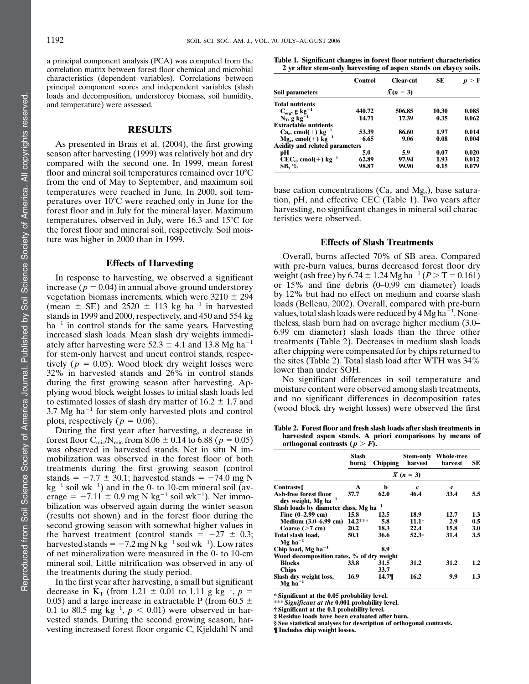a principal component analysis (PCA) was computed from the correlation matrix between forest floor chemical and microbial characteristics (dependent variables). Correlations between principal component scores and independent variables (slash loads and decomposition, understorey biomass, soil humidity, and temperature) were assessed.

#### RESULTS

As presented in Brais et al. (2004), the first growing season after harvesting (1999) was relatively hot and dry compared with the second one. In 1999, mean forest floor and mineral soil temperatures remained over  $10^{\circ}$ C from the end of May to September, and maximum soil temperatures were reached in June. In 2000, soil temperatures over  $10^{\circ}$ C were reached only in June for the forest floor and in July for the mineral layer. Maximum temperatures, observed in July, were  $16.3$  and  $15^{\circ}$ C for the forest floor and mineral soil, respectively. Soil moisture was higher in 2000 than in 1999.

## Effects of Harvesting

In response to harvesting, we observed a significant increase ( $p = 0.04$ ) in annual above-ground understorey vegetation biomass increments, which were  $3210 \pm 294$ (mean  $\pm$  SE) and 2520  $\pm$  113 kg ha<sup>-1</sup> in harvested stands in 1999 and 2000, respectively, and 450 and 554 kg  $ha^{-1}$  in control stands for the same years. Harvesting increased slash loads. Mean slash dry weights immediately after harvesting were  $52.3 \pm 4.1$  and 13.8 Mg ha<sup>-1</sup> for stem-only harvest and uncut control stands, respectively ( $p = 0.05$ ). Wood block dry weight losses were 32% in harvested stands and 26% in control stands during the first growing season after harvesting. Applying wood block weight losses to initial slash loads led to estimated losses of slash dry matter of  $16.2 \pm 1.7$  and  $3.7 \text{ Mg}$  ha<sup>-1</sup> for stem-only harvested plots and control plots, respectively ( $p = 0.06$ ).

During the first year after harvesting, a decrease in forest floor  $C_{\text{mic}}/N_{\text{mic}}$  from 8.06  $\pm$  0.14 to 6.88 ( $p = 0.05$ ) was observed in harvested stands. Net in situ N immobilization was observed in the forest floor of both treatments during the first growing season (control stands =  $-7.7 \pm 30.1$ ; harvested stands =  $-74.0$  mg N  $kg^{-1}$  soil wk<sup>-1</sup>) and in the 0- to 10-cm mineral soil (average =  $-7.11 \pm 0.9$  mg N kg<sup>-1</sup> soil wk<sup>-1</sup>). Net immobilization was observed again during the winter season (results not shown) and in the forest floor during the second growing season with somewhat higher values in the harvest treatment (control stands  $= -27 \pm 0.3$ ; harvested stands  $= -7.2$  mg N kg<sup>-1</sup> soil wk<sup>-1</sup>). Low rates of net mineralization were measured in the 0- to 10-cm mineral soil. Little nitrification was observed in any of the treatments during the study period.

In the first year after harvesting, a small but significant decrease in  $K_T$  (from 1.21  $\pm$  0.01 to 1.11 g kg<sup>-1</sup>, p = 0.05) and a large increase in extractable P (from 60.5  $\pm$ 0.1 to 80.5 mg  $kg^{-1}$ ,  $p < 0.01$ ) were observed in harvested stands. During the second growing season, harvesting increased forest floor organic C, Kjeldahl N and

Table 1. Significant changes in forest floor nutrient characteristics 2 yr after stem-only harvesting of aspen stands on clayey soils.

|                                                                       | Control | <b>Clear-cut</b>    | SЕ    | $>$ F |
|-----------------------------------------------------------------------|---------|---------------------|-------|-------|
| Soil parameters                                                       |         | $\overline{X}(n=3)$ |       |       |
| Total nutrients                                                       |         |                     |       |       |
|                                                                       | 440.72  | 506.85              | 10.30 | 0.085 |
| $C_{org}$ , g kg <sup>-1</sup><br>N <sub>D</sub> , g kg <sup>-1</sup> | 14.71   | 17.39               | 0.35  | 0.062 |
| <b>Extractable nutrients</b>                                          |         |                     |       |       |
| $Ca_e$ , cmol(+) $kg^{-1}$                                            | 53.39   | 86.60               | 1.97  | 0.014 |
| Mg <sub>e</sub> , cmol(+) $kg^{-1}$                                   | 6.65    | 9.06                | 0.08  | 0.004 |
| <b>Acidity and related parameters</b>                                 |         |                     |       |       |
| рH                                                                    | 5.0     | 5.9                 | 0.07  | 0.020 |
| $CEC_e$ , cmol(+) kg <sup>-1</sup>                                    | 62.89   | 97.94               | 1.93  | 0.012 |
| SB, %                                                                 | 98.87   | 99.90               | 0.15  | 0.079 |

base cation concentrations ( $Ca<sub>e</sub>$  and  $Mg<sub>e</sub>$ ), base saturation, pH, and effective CEC (Table 1). Two years after harvesting, no significant changes in mineral soil characteristics were observed.

# Effects of Slash Treatments

Overall, burns affected 70% of SB area. Compared with pre-burn values, burns decreased forest floor dry weight (ash free) by  $6.74 \pm 1.24$  Mg ha<sup>-1</sup> ( $P > T = 0.161$ ) or 15% and fine debris (0–0.99 cm diameter) loads by 12% but had no effect on medium and coarse slash loads (Belleau, 2002). Overall, compared with pre-burn values, total slash loads were reduced by  $4$  Mg ha<sup> $-1$ </sup>. Nonetheless, slash burn had on average higher medium (3.0– 6.99 cm diameter) slash loads than the three other treatments (Table 2). Decreases in medium slash loads after chipping were compensated for by chips returned to the sites (Table 2). Total slash load after WTH was 34% lower than under SOH.

No significant differences in soil temperature and moisture content were observed among slash treatments, and no significant differences in decomposition rates (wood block dry weight losses) were observed the first

Table 2. Forest floor and fresh slash loads after slash treatments in harvested aspen stands. A priori comparisons by means of orthogonal contrasts  $(p > F)$ .

|                                                                       | Slash<br>burn‡      | <b>Chipping</b> | Stem-only<br>harvest | <b>Whole-tree</b><br>harvest | SЕ               |  |
|-----------------------------------------------------------------------|---------------------|-----------------|----------------------|------------------------------|------------------|--|
|                                                                       | $\overline{X}(n=3)$ |                 |                      |                              |                  |  |
| <b>Contrasts</b> §                                                    | A                   | b               | c                    | c                            |                  |  |
| Ash-free forest floor<br>dry weight, Mg ha <sup><math>-1</math></sup> | 37.7                | 62.0            | 46.4                 | 33.4                         | 5.5              |  |
| Slash loads by diameter class, Mg ha                                  |                     | -1              |                      |                              |                  |  |
| Fine $(0-2.99$ cm)                                                    | 15.8                | 12.5            | 18.9                 | 12.7                         | 1.3              |  |
| Medium (3.0–6.99 cm)                                                  | $14.2***$           | 5.8             | $11.1*$              | 2.9                          | 0.5              |  |
| Coarse $(>7$ cm)                                                      | 20.2                | 18.3            | 22.4                 | 15.8                         | 3.0              |  |
| Total slash load,<br>$Mg$ ha <sup>-1</sup>                            | 50.1                | 36.6            | $52.3+$              | 31.4                         | 3.5              |  |
| Chip load, Mg ha <sup><math>-1</math></sup>                           |                     | 8.9             |                      |                              |                  |  |
| Wood decomposition rates, % of dry weight                             |                     |                 |                      |                              |                  |  |
| <b>Blocks</b>                                                         | 33.8                | 31.5            | 31.2                 | 31.2                         | $1.2\phantom{0}$ |  |
| <b>Chips</b>                                                          |                     | 33.7            |                      |                              |                  |  |
| Slash dry weight loss,<br>Mg ha                                       | 16.9                | 14.7¶           | 16.2                 | 9.9                          | 1.3              |  |

\* Significant at the 0.05 probability level.

 $***$  Significant at the  $0.001$  probability level.

† Significant at the 0.1 probability level.

‡ Residue loads have been evaluated after burn.

§ See statistical analyses for description of orthogonal contrasts.

¶ Includes chip weight losses.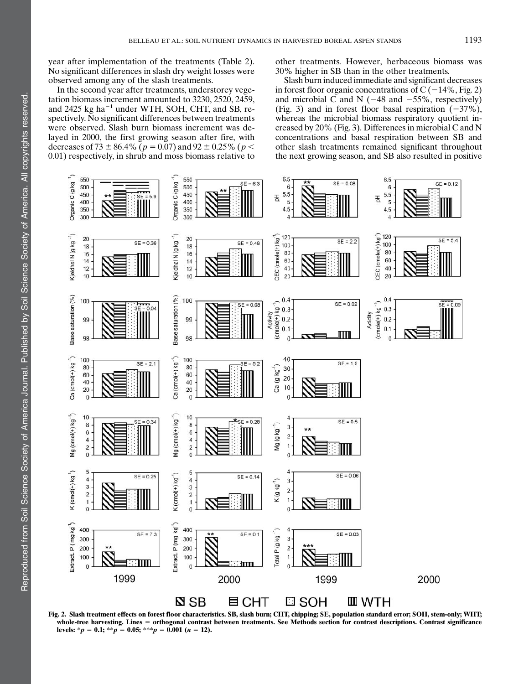year after implementation of the treatments (Table 2). No significant differences in slash dry weight losses were observed among any of the slash treatments.

In the second year after treatments, understorey vegetation biomass increment amounted to 3230, 2520, 2459, and 2425 kg ha<sup>-1</sup> under WTH, SOH, CHT, and SB, respectively. No significant differences between treatments were observed. Slash burn biomass increment was delayed in 2000, the first growing season after fire, with decreases of 73  $\pm$  86.4% (p = 0.07) and 92  $\pm$  0.25% (p < 0.01) respectively, in shrub and moss biomass relative to other treatments. However, herbaceous biomass was 30% higher in SB than in the other treatments.

Slash burn induced immediate and significant decreases in forest floor organic concentrations of  $C$  (-14%, Fig. 2) and microbial C and N  $(-48$  and  $-55\%$ , respectively) (Fig. 3) and in forest floor basal respiration  $(-37\%)$ , whereas the microbial biomass respiratory quotient increased by 20% (Fig. 3). Differences in microbial C and N concentrations and basal respiration between SB and other slash treatments remained significant throughout the next growing season, and SB also resulted in positive



Fig. 2. Slash treatment effects on forest floor characteristics. SB, slash burn; CHT, chipping; SE, population standard error; SOH, stem-only; WHT; whole-tree harvesting. Lines = orthogonal contrast between treatments. See Methods section for contrast descriptions. Contrast significance levels: \* $p = 0.1$ ; \*\* $p = 0.05$ ; \*\*\* $p = 0.001$  (n = 12).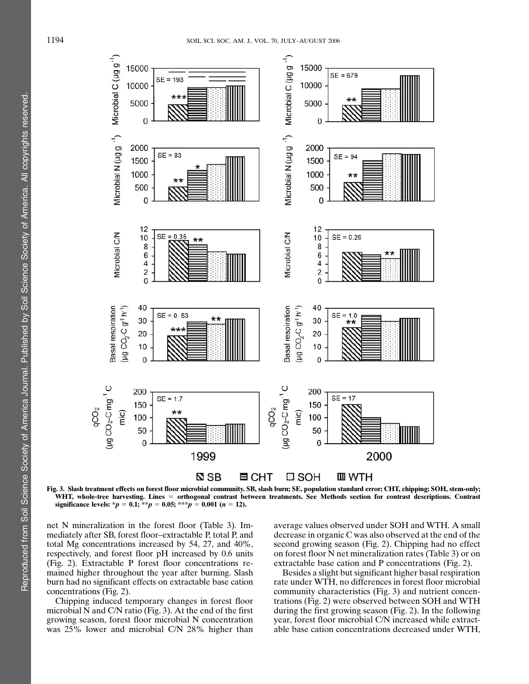

Fig. 3. Slash treatment effects on forest floor microbial community. SB, slash burn; SE, population standard error; CHT, chipping; SOH, stem-only; WHT, whole-tree harvesting. Lines = orthogonal contrast between treatments. See Methods section for contrast descriptions. Contrast significance levels: \* $p = 0.1$ ; \*\* $p = 0.05$ ; \*\*\*p = 0.001 (n = 12).

net N mineralization in the forest floor (Table 3). Immediately after SB, forest floor–extractable P, total P, and total Mg concentrations increased by 54, 27, and 40%, respectively, and forest floor pH increased by 0.6 units (Fig. 2). Extractable P forest floor concentrations remained higher throughout the year after burning. Slash burn had no significant effects on extractable base cation concentrations (Fig. 2).

Chipping induced temporary changes in forest floor microbial N and C/N ratio (Fig. 3). At the end of the first growing season, forest floor microbial N concentration was 25% lower and microbial C/N 28% higher than average values observed under SOH and WTH. A small decrease in organic C was also observed at the end of the second growing season (Fig. 2). Chipping had no effect on forest floor N net mineralization rates (Table 3) or on extractable base cation and P concentrations (Fig. 2).

Besides a slight but significant higher basal respiration rate under WTH, no differences in forest floor microbial community characteristics (Fig. 3) and nutrient concentrations (Fig. 2) were observed between SOH and WTH during the first growing season (Fig. 2). In the following year, forest floor microbial C/N increased while extractable base cation concentrations decreased under WTH,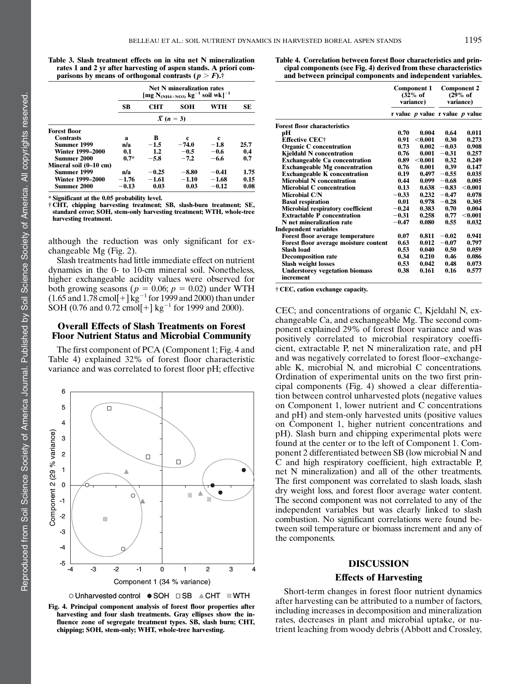Table 3. Slash treatment effects on in situ net N mineralization rates 1 and 2 yr after harvesting of aspen stands. A priori comparisons by means of orthogonal contrasts ( $p > F$ ).<sup>†</sup>

| ັ                       |                                                                                                  | o                | л.         |         |      |  |
|-------------------------|--------------------------------------------------------------------------------------------------|------------------|------------|---------|------|--|
|                         | <b>Net N</b> mineralization rates<br>[mg $N_{(NH4+NO3)}$ kg <sup>-1</sup> soil wk] <sup>-1</sup> |                  |            |         |      |  |
|                         | SВ                                                                                               | <b>CHT</b>       | <b>SOH</b> | WTH     | SЕ   |  |
|                         | $\overline{X}(n=3)$                                                                              |                  |            |         |      |  |
| <b>Forest floor</b>     |                                                                                                  |                  |            |         |      |  |
| <b>Contrasts</b>        | a                                                                                                | в                | c          | c       |      |  |
| Summer 1999             | n/a                                                                                              | $-1.5$           | $-74.0$    | $-1.8$  | 25.7 |  |
| <b>Winter 1999–2000</b> | 0.1                                                                                              | $1.2\phantom{0}$ | $-0.5$     | $-0.6$  | 0.4  |  |
| Summer 2000             | $0.7*$                                                                                           | $-5.8$           | $-7.2$     | $-6.6$  | 0.7  |  |
| Mineral soil (0–10 cm)  |                                                                                                  |                  |            |         |      |  |
| Summer 1999             | n/a                                                                                              | $-0.25$          | $-8.80$    | $-0.41$ | 1.75 |  |
| <b>Winter 1999–2000</b> | $-1.76$                                                                                          | $-1.61$          | $-1.10$    | $-1.68$ | 0.15 |  |
| Summer 2000             | $-0.13$                                                                                          | 0.03             | 0.03       | $-0.12$ | 0.08 |  |

\* Significant at the 0.05 probability level.

† CHT, chipping harvesting treatment; SB, slash-burn treatment; SE, standard error; SOH, stem-only harvesting treatment; WTH, whole-tree harvesting treatment.

although the reduction was only significant for exchangeable Mg (Fig. 2).

Slash treatments had little immediate effect on nutrient dynamics in the 0- to 10-cm mineral soil. Nonetheless, higher exchangeable acidity values were observed for both growing seasons ( $p = 0.06$ ;  $p = 0.02$ ) under WTH  $(1.65 \text{ and } 1.78 \text{ cmol} + \frac{1}{2} \text{ kg}^{-1}$  for 1999 and 2000) than under SOH (0.76 and 0.72 cmol[+] kg<sup>-1</sup> for 1999 and 2000).

# Overall Effects of Slash Treatments on Forest Floor Nutrient Status and Microbial Community

The first component of PCA (Component 1; Fig. 4 and Table 4) explained 32% of forest floor characteristic variance and was correlated to forest floor pH; effective



O Unharvested control ● SOH □ SB ▲ CHT ■ WTH

Fig. 4. Principal component analysis of forest floor properties after harvesting and four slash treatments. Gray ellipses show the influence zone of segregate treatment types. SB, slash burn; CHT, chipping; SOH, stem-only; WHT, whole-tree harvesting.

Table 4. Correlation between forest floor characteristics and principal components (see Fig. 4) derived from these characteristics and between principal components and independent variables.

|                                                    | <b>Component 1</b><br>$(32\% \text{ of }$<br>variance) |                                 | <b>Component 2</b><br>(29% of<br>variance) |         |  |
|----------------------------------------------------|--------------------------------------------------------|---------------------------------|--------------------------------------------|---------|--|
|                                                    |                                                        | r value p value r value p value |                                            |         |  |
| <b>Forest floor characteristics</b>                |                                                        |                                 |                                            |         |  |
| pН                                                 | 0.70                                                   | 0.004                           | 0.64                                       | 0.011   |  |
| <b>Effective CEC+</b>                              | 0.91                                                   | $<$ 0.001                       | 0.30                                       | 0.273   |  |
| <b>Organic C</b> concentration                     | 0.73                                                   | 0.002                           | $-0.03$                                    | 0.908   |  |
| <b>Kjeldahl N</b> concentration                    | 0.76                                                   | 0.001                           | $-0.31$                                    | 0.257   |  |
| <b>Exchangeable Ca concentration</b>               | 0.89                                                   | $<$ 0.001                       | 0.32                                       | 0.249   |  |
| <b>Exchangeable Mg concentration</b>               | 0.76                                                   | 0.001                           | 0.39                                       | 0.147   |  |
| <b>Exchangeable K concentration</b>                | 0.19                                                   | 0.497                           | $-0.55$                                    | 0.035   |  |
| <b>Microbial N concentration</b>                   | 0.44                                                   | 0.099                           | $-0.68$                                    | 0.005   |  |
| Microbial C concentration                          | 0.13                                                   | 0.638                           | $-0.83$                                    | $0.001$ |  |
| Microbial C/N                                      | $-0.33$                                                | 0.232                           | $-0.47$                                    | 0.078   |  |
| <b>Basal respiration</b>                           | 0.01                                                   | 0.978                           | $-0.28$                                    | 0.305   |  |
| Microbial respiratory coefficient                  | $-0.24$                                                | 0.383                           | 0.70                                       | 0.004   |  |
| <b>Extractable P concentration</b>                 | $-0.31$                                                | 0.258                           | 0.77                                       | $0.001$ |  |
| N net mineralization rate                          | $-0.47$                                                | 0.080                           | 0.55                                       | 0.032   |  |
| <b>Independent variables</b>                       |                                                        |                                 |                                            |         |  |
| Forest floor average temperature                   | 0.07                                                   | 0.811                           | $-0.02$                                    | 0.941   |  |
| Forest floor average moisture content              | 0.63                                                   | 0.012                           | $-0.07$                                    | 0.797   |  |
| Slash load                                         | 0.53                                                   | 0.040                           | 0.50                                       | 0.059   |  |
| <b>Decomposition rate</b>                          | 0.34                                                   | 0.210                           | 0.46                                       | 0.086   |  |
| <b>Slash weight losses</b>                         | 0.53                                                   | 0.042                           | 0.48                                       | 0.073   |  |
| <b>Understorey vegetation biomass</b><br>increment | 0.38                                                   | 0.161                           | 0.16                                       | 0.577   |  |

† CEC, cation exchange capacity.

CEC; and concentrations of organic C, Kjeldahl N, exchangeable Ca, and exchangeable Mg. The second component explained 29% of forest floor variance and was positively correlated to microbial respiratory coefficient, extractable P, net N mineralization rate, and pH and was negatively correlated to forest floor–exchangeable K, microbial N, and microbial C concentrations. Ordination of experimental units on the two first principal components (Fig. 4) showed a clear differentiation between control unharvested plots (negative values on Component 1, lower nutrient and C concentrations and pH) and stem-only harvested units (positive values on Component 1, higher nutrient concentrations and pH). Slash burn and chipping experimental plots were found at the center or to the left of Component 1. Component 2 differentiated between SB (low microbial N and C and high respiratory coefficient, high extractable P, net N mineralization) and all of the other treatments. The first component was correlated to slash loads, slash dry weight loss, and forest floor average water content. The second component was not correlated to any of the independent variables but was clearly linked to slash combustion. No significant correlations were found between soil temperature or biomass increment and any of the components.

# DISCUSSION

## Effects of Harvesting

Short-term changes in forest floor nutrient dynamics after harvesting can be attributed to a number of factors, including increases in decomposition and mineralization rates, decreases in plant and microbial uptake, or nutrient leaching from woody debris (Abbott and Crossley,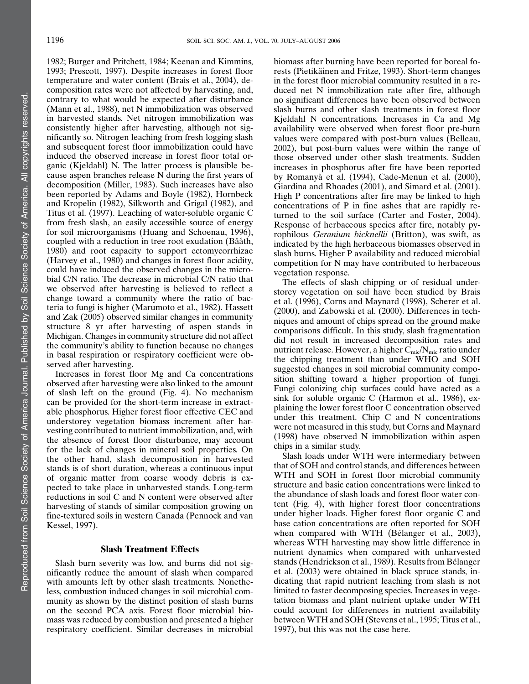1982; Burger and Pritchett, 1984; Keenan and Kimmins, 1993; Prescott, 1997). Despite increases in forest floor temperature and water content (Brais et al., 2004), decomposition rates were not affected by harvesting, and, contrary to what would be expected after disturbance (Mann et al., 1988), net N immobilization was observed in harvested stands. Net nitrogen immobilization was consistently higher after harvesting, although not significantly so. Nitrogen leaching from fresh logging slash and subsequent forest floor immobilization could have induced the observed increase in forest floor total organic (Kjeldahl) N. The latter process is plausible because aspen branches release N during the first years of decomposition (Miller, 1983). Such increases have also been reported by Adams and Boyle (1982), Hornbeck and Kropelin (1982), Silkworth and Grigal (1982), and Titus et al. (1997). Leaching of water-soluble organic C from fresh slash, an easily accessible source of energy for soil microorganisms (Huang and Schoenau, 1996), coupled with a reduction in tree root exudation (Bååth, 1980) and root capacity to support ectomycorrhizae (Harvey et al., 1980) and changes in forest floor acidity, could have induced the observed changes in the microbial C/N ratio. The decrease in microbial C/N ratio that we observed after harvesting is believed to reflect a change toward a community where the ratio of bacteria to fungi is higher (Marumoto et al., 1982). Hassett and Zak (2005) observed similar changes in community structure 8 yr after harvesting of aspen stands in Michigan. Changes in community structure did not affect the community's ability to function because no changes in basal respiration or respiratory coefficient were observed after harvesting.

Increases in forest floor Mg and Ca concentrations observed after harvesting were also linked to the amount of slash left on the ground (Fig. 4). No mechanism can be provided for the short-term increase in extractable phosphorus. Higher forest floor effective CEC and understorey vegetation biomass increment after harvesting contributed to nutrient immobilization, and, with the absence of forest floor disturbance, may account for the lack of changes in mineral soil properties. On the other hand, slash decomposition in harvested stands is of short duration, whereas a continuous input of organic matter from coarse woody debris is expected to take place in unharvested stands. Long-term reductions in soil C and N content were observed after harvesting of stands of similar composition growing on fine-textured soils in western Canada (Pennock and van Kessel, 1997).

## Slash Treatment Effects

Slash burn severity was low, and burns did not significantly reduce the amount of slash when compared with amounts left by other slash treatments. Nonetheless, combustion induced changes in soil microbial community as shown by the distinct position of slash burns on the second PCA axis. Forest floor microbial biomass was reduced by combustion and presented a higher respiratory coefficient. Similar decreases in microbial

biomass after burning have been reported for boreal forests (Pietikäinen and Fritze, 1993). Short-term changes in the forest floor microbial community resulted in a reduced net N immobilization rate after fire, although no significant differences have been observed between slash burns and other slash treatments in forest floor Kjeldahl N concentrations. Increases in Ca and Mg availability were observed when forest floor pre-burn values were compared with post-burn values (Belleau, 2002), but post-burn values were within the range of those observed under other slash treatments. Sudden increases in phosphorus after fire have been reported by Romanya` et al. (1994), Cade-Menun et al. (2000), Giardina and Rhoades (2001), and Simard et al. (2001). High P concentrations after fire may be linked to high concentrations of P in fine ashes that are rapidly returned to the soil surface (Carter and Foster, 2004). Response of herbaceous species after fire, notably pyrophilous Geranium bicknellii (Britton), was swift, as indicated by the high herbaceous biomasses observed in slash burns. Higher P availability and reduced microbial competition for N may have contributed to herbaceous vegetation response.

The effects of slash chipping or of residual understorey vegetation on soil have been studied by Brais et al. (1996), Corns and Maynard (1998), Scherer et al. (2000), and Zabowski et al. (2000). Differences in techniques and amount of chips spread on the ground make comparisons difficult. In this study, slash fragmentation did not result in increased decomposition rates and nutrient release. However, a higher  $C_{\text{mic}}/N_{\text{mic}}$  ratio under the chipping treatment than under WHO and SOH suggested changes in soil microbial community composition shifting toward a higher proportion of fungi. Fungi colonizing chip surfaces could have acted as a sink for soluble organic C (Harmon et al., 1986), explaining the lower forest floor C concentration observed under this treatment. Chip C and N concentrations were not measured in this study, but Corns and Maynard (1998) have observed N immobilization within aspen chips in a similar study.

Slash loads under WTH were intermediary between that of SOH and control stands, and differences between WTH and SOH in forest floor microbial community structure and basic cation concentrations were linked to the abundance of slash loads and forest floor water content (Fig. 4), with higher forest floor concentrations under higher loads. Higher forest floor organic C and base cation concentrations are often reported for SOH when compared with WTH (Bélanger et al., 2003), whereas WTH harvesting may show little difference in nutrient dynamics when compared with unharvested stands (Hendrickson et al., 1989). Results from Bélanger et al. (2003) were obtained in black spruce stands, indicating that rapid nutrient leaching from slash is not limited to faster decomposing species. Increases in vegetation biomass and plant nutrient uptake under WTH could account for differences in nutrient availability between WTH and SOH (Stevens et al., 1995; Titus et al., 1997), but this was not the case here.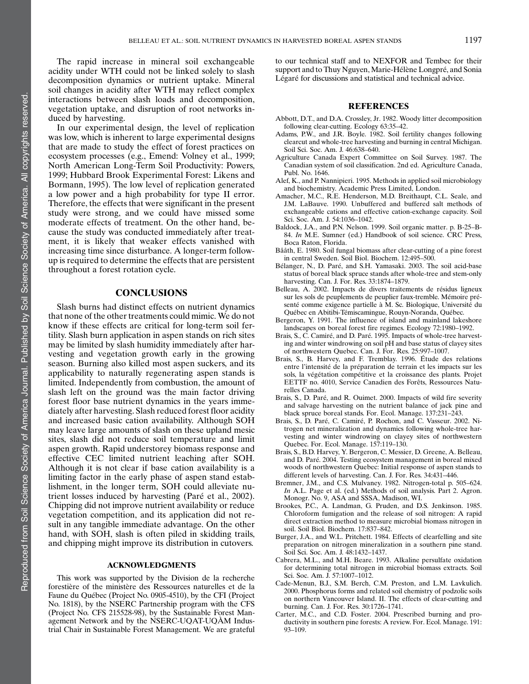The rapid increase in mineral soil exchangeable acidity under WTH could not be linked solely to slash decomposition dynamics or nutrient uptake. Mineral soil changes in acidity after WTH may reflect complex interactions between slash loads and decomposition, vegetation uptake, and disruption of root networks induced by harvesting.

In our experimental design, the level of replication was low, which is inherent to large experimental designs that are made to study the effect of forest practices on ecosystem processes (e.g., Emend: Volney et al., 1999; North American Long-Term Soil Productivity: Powers, 1999; Hubbard Brook Experimental Forest: Likens and Bormann, 1995). The low level of replication generated a low power and a high probability for type II error. Therefore, the effects that were significant in the present study were strong, and we could have missed some moderate effects of treatment. On the other hand, because the study was conducted immediately after treatment, it is likely that weaker effects vanished with increasing time since disturbance. A longer-term followup is required to determine the effects that are persistent throughout a forest rotation cycle.

#### **CONCLUSIONS**

Slash burns had distinct effects on nutrient dynamics that none of the other treatments could mimic. We do not know if these effects are critical for long-term soil fertility. Slash burn application in aspen stands on rich sites may be limited by slash humidity immediately after harvesting and vegetation growth early in the growing season. Burning also killed most aspen suckers, and its applicability to naturally regenerating aspen stands is limited. Independently from combustion, the amount of slash left on the ground was the main factor driving forest floor base nutrient dynamics in the years immediately after harvesting. Slash reduced forest floor acidity and increased basic cation availability. Although SOH may leave large amounts of slash on these upland mesic sites, slash did not reduce soil temperature and limit aspen growth. Rapid understorey biomass response and effective CEC limited nutrient leaching after SOH. Although it is not clear if base cation availability is a limiting factor in the early phase of aspen stand establishment, in the longer term, SOH could alleviate nutrient losses induced by harvesting (Paré et al., 2002). Chipping did not improve nutrient availability or reduce vegetation competition, and its application did not result in any tangible immediate advantage. On the other hand, with SOH, slash is often piled in skidding trails, and chipping might improve its distribution in cutovers.

# ACKNOWLEDGMENTS

This work was supported by the Division de la recherche forestière of the ministère des Ressources naturelles et de la Faune du Québec (Project No. 0905-4510), by the CFI (Project No. 1818), by the NSERC Partnership program with the CFS (Project No. CFS 215528-98), by the Sustainable Forest Management Network and by the NSERC-UQAT-UQAM Industrial Chair in Sustainable Forest Management. We are grateful to our technical staff and to NEXFOR and Tembec for their support and to Thuy Nguyen, Marie-Hélène Longpré, and Sonia Légaré for discussions and statistical and technical advice.

## **REFERENCES**

- Abbott, D.T., and D.A. Crossley, Jr. 1982. Woody litter decomposition following clear-cutting. Ecology 63:35–42.
- Adams, P.W., and J.R. Boyle. 1982. Soil fertility changes following clearcut and whole-tree harvesting and burning in central Michigan. Soil Sci. Soc. Am. J. 46:638–640.
- Agriculture Canada Expert Committee on Soil Survey. 1987. The Canadian system of soil classification. 2nd ed. Agriculture Canada, Publ. No. 1646.
- Alef, K., and P. Nannipieri. 1995. Methods in applied soil microbiology and biochemistry. Academic Press Limited, London.
- Amacher, M.C., R.E. Henderson, M.D. Breithaupt, C.L. Seale, and J.M. LaBauve. 1990. Unbuffered and buffered salt methods of exchangeable cations and effective cation-exchange capacity. Soil Sci. Soc. Am. J. 54:1036–1042.
- Baldock, J.A., and P.N. Nelson. 1999. Soil organic matter. p. B-25–B-84. In M.E. Sumner (ed.) Handbook of soil science. CRC Press, Boca Raton, Florida.
- Bååth, E. 1980. Soil fungal biomass after clear-cutting of a pine forest in central Sweden. Soil Biol. Biochem. 12:495–500.
- Bélanger, N., D. Paré, and S.H. Yamasaki. 2003. The soil acid-base status of boreal black spruce stands after whole-tree and stem-only harvesting. Can. J. For. Res. 33:1874–1879.
- Belleau, A. 2002. Impacts de divers traitements de résidus ligneux sur les sols de peuplements de peuplier faux-tremble. Mémoire présenté comme exigence partielle à M. Sc. Biologique, Université du Québec en Abitibi-Témiscamingue, Rouyn-Noranda, Québec.
- Bergeron, Y. 1991. The influence of island and mainland lakeshore landscapes on boreal forest fire regimes. Ecology 72:1980–1992.
- Brais, S., C. Camiré, and D. Paré. 1995. Impacts of whole-tree harvesting and winter windrowing on soil pH and base status of clayey sites of northwestern Quebec. Can. J. For. Res. 25:997–1007.
- Brais, S., B. Harvey, and F. Tremblay. 1996. Étude des relations entre l'intensité de la préparation de terrain et les impacts sur les sols, la végétation compétitive et la croissance des plants. Projet EETTF no. 4010, Service Canadien des Forêts, Ressources Naturelles Canada.
- Brais, S., D. Paré, and R. Ouimet. 2000. Impacts of wild fire severity and salvage harvesting on the nutrient balance of jack pine and black spruce boreal stands. For. Ecol. Manage. 137:231–243.
- Brais, S., D. Paré, C. Camiré, P. Rochon, and C. Vasseur. 2002. Nitrogen net mineralization and dynamics following whole-tree harvesting and winter windrowing on clayey sites of northwestern Quebec. For. Ecol. Manage. 157:119–130.
- Brais, S., B.D. Harvey, Y. Bergeron, C. Messier, D. Greene, A. Belleau, and D. Paré. 2004. Testing ecosystem management in boreal mixed woods of northwestern Quebec: Initial response of aspen stands to different levels of harvesting. Can. J. For. Res. 34:431–446.
- Bremner, J.M., and C.S. Mulvaney. 1982. Nitrogen-total p. 505–624. In A.L. Page et al. (ed.) Methods of soil analysis. Part 2. Agron. Monogr. No. 9, ASA and SSSA, Madison, WI.
- Brookes, P.C., A. Landman, G. Pruden, and D.S. Jenkinson. 1985. Chloroform fumigation and the release of soil nitrogen: A rapid direct extraction method to measure microbial biomass nitrogen in soil. Soil Biol. Biochem. 17:837–842.
- Burger, J.A., and W.L. Pritchett. 1984. Effects of clearfelling and site preparation on nitrogen mineralization in a southern pine stand. Soil Sci. Soc. Am. J. 48:1432–1437.
- Cabrera, M.L., and M.H. Beare. 1993. Alkaline persulfate oxidation for determining total nitrogen in microbial biomass extracts. Soil Sci. Soc. Am. J. 57:1007–1012.
- Cade-Menun, B.J., S.M. Berch, C.M. Preston, and L.M. Lavkulich. 2000. Phosphorus forms and related soil chemistry of podzolic soils on northern Vancouver Island. II. The effects of clear-cutting and burning. Can. J. For. Res. 30:1726–1741.
- Carter, M.C., and C.D. Foster. 2004. Prescribed burning and productivity in southern pine forests: A review. For. Ecol. Manage. 191: 93–109.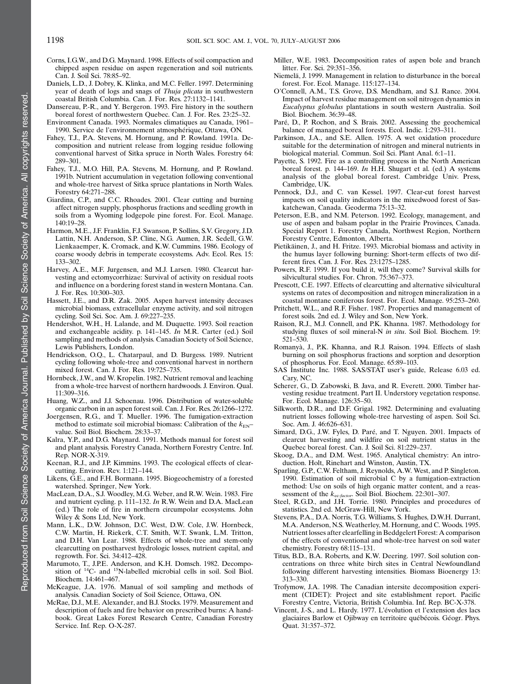- Corns, I.G.W., and D.G. Maynard. 1998. Effects of soil compaction and chipped aspen residue on aspen regeneration and soil nutrients. Can. J. Soil Sci. 78:85–92.
- Daniels, L.D., J. Dobry, K. Klinka, and M.C. Feller. 1997. Determining year of death of logs and snags of Thuja plicata in southwestern coastal British Columbia. Can. J. For. Res. 27:1132–1141.
- Dansereau, P.-R., and Y. Bergeron. 1993. Fire history in the southern boreal forest of northwestern Quebec. Can. J. For. Res. 23:25–32.
- Environment Canada. 1993. Normales climatiques au Canada, 1961– 1990. Service de l'environnement atmosphérique, Ottawa, ON.
- Fahey, T.J., P.A. Stevens, M. Hornung, and P. Rowland. 1991a. Decomposition and nutrient release from logging residue following conventional harvest of Sitka spruce in North Wales. Forestry 64: 289–301.
- Fahey, T.J., M.O. Hill, P.A. Stevens, M. Hornung, and P. Rowland. 1991b. Nutrient accumulation in vegetation following conventional and whole-tree harvest of Sitka spruce plantations in North Wales. Forestry 64:271–288.
- Giardina, C.P., and C.C. Rhoades. 2001. Clear cutting and burning affect nitrogen supply, phosphorus fractions and seedling growth in soils from a Wyoming lodgepole pine forest. For. Ecol. Manage. 140:19–28.
- Harmon, M.E., J.F. Franklin, F.J. Swanson, P. Sollins, S.V. Gregory, J.D. Lattin, N.H. Anderson, S.P. Cline, N.G. Aumen, J.R. Sedell, G.W. Lienkaaemper, K. Cromack, and K.W. Cummins. 1986. Ecology of coarse woody debris in temperate ecosystems. Adv. Ecol. Res. 15: 133–302.
- Harvey, A.E., M.F. Jurgensen, and M.J. Larsen. 1980. Clearcut harvesting and ectomycorrhizae: Survival of activity on residual roots and influence on a bordering forest stand in western Montana. Can. J. For. Res. 10:300–303.
- Hassett, J.E., and D.R. Zak. 2005. Aspen harvest intensity deceases microbial biomass, extracellular enzyme activity, and soil nitrogen cycling. Soil Sci. Soc. Am. J. 69:227–235.
- Hendershot, W.H., H. Lalande, and M. Duquette. 1993. Soil reaction and exchangeable acidity. p. 141-145.  $\overline{In}$  M.R. Carter (ed.) Soil sampling and methods of analysis. Canadian Society of Soil Science, Lewis Publishers, London.
- Hendrickson, O.Q., L. Chatarpaul, and D. Burgess. 1989. Nutrient cycling following whole-tree and conventional harvest in northern mixed forest. Can. J. For. Res. 19:725–735.
- Hornbeck, J.W., and W. Kropelin. 1982. Nutrient removal and leaching from a whole-tree harvest of northern hardwoods. J. Environ. Qual. 11:309–316.
- Huang, W.Z., and J.J. Schoenau. 1996. Distribution of water-soluble organic carbon in an aspen forest soil. Can. J. For. Res. 26:1266–1272.
- Joergensen, R.G., and T. Mueller. 1996. The fumigation-extraction method to estimate soil microbial biomass: Calibration of the  $k_{\text{EN}}$ – value. Soil Biol. Biochem. 28:33–37.
- Kalra, Y.P., and D.G. Maynard. 1991. Methods manual for forest soil and plant analysis. Forestry Canada, Northern Forestry Centre. Inf. Rep. NOR-X-319.
- Keenan, R.J., and J.P. Kimmins. 1993. The ecological effects of clearcutting. Environ. Rev. 1:121–144.
- Likens, G.E., and F.H. Bormann. 1995. Biogeochemistry of a forested watershed. Springer, New York.
- MacLean, D.A., S.J. Woodley, M.G. Weber, and R.W. Wein. 1983. Fire and nutrient cycling. p. 111–132. In R.W. Wein and D.A. MacLean (ed.) The role of fire in northern circumpolar ecosystems. John Wiley & Sons Ltd, New York.
- Mann, L.K., D.W. Johnson, D.C. West, D.W. Cole, J.W. Hornbeck, C.W. Martin, H. Riekerk, C.T. Smith, W.T. Swank, L.M. Tritton, and D.H. Van Lear. 1988. Effects of whole-tree and stem-only clearcutting on postharvest hydrologic losses, nutrient capital, and regrowth. For. Sci. 34:412–428.
- Marumoto, T., J.P.E. Anderson, and K.H. Domsch. 1982. Decomposition of <sup>14</sup>C- and <sup>15</sup>N-labelled microbial cells in soil. Soil Biol. Biochem. 14:461–467.
- McKeague, J.A. 1976. Manual of soil sampling and methods of analysis. Canadian Society of Soil Science, Ottawa, ON.
- McRae, D.J., M.E. Alexander, and B.J. Stocks. 1979. Measurement and description of fuels and fire behavior on prescribed burns: A handbook. Great Lakes Forest Research Centre, Canadian Forestry Service. Inf. Rep. O-X-287.
- Miller, W.E. 1983. Decomposition rates of aspen bole and branch litter. For. Sci. 29:351–356.
- Niemelä, J. 1999. Management in relation to disturbance in the boreal forest. For. Ecol. Manage. 115:127–134.
- O'Connell, A.M., T.S. Grove, D.S. Mendham, and S.J. Rance. 2004. Impact of harvest residue management on soil nitrogen dynamics in Eucalyptus globulus plantations in south western Australia. Soil Biol. Biochem. 36:39–48.
- Paré, D., P. Rochon, and S. Brais. 2002. Assessing the geochemical balance of managed boreal forests. Ecol. Indic. 1:293–311.
- Parkinson, J.A., and S.E. Allen. 1975. A wet oxidation procedure suitable for the determination of nitrogen and mineral nutrients in biological material. Commun. Soil Sci. Plant Anal. 6:1–11.
- Payette, S. 1992. Fire as a controlling process in the North American boreal forest. p. 144–169. In H.H. Shugart et al. (ed.) A systems analysis of the global boreal forest. Cambridge Univ. Press, Cambridge, UK.
- Pennock, D.J., and C. van Kessel. 1997. Clear-cut forest harvest impacts on soil quality indicators in the mixedwood forest of Saskatchewan, Canada. Geoderma 75:13–32.
- Peterson, E.B., and N.M. Peterson. 1992. Ecology, management, and use of aspen and balsam poplar in the Prairie Provinces, Canada. Special Report 1. Forestry Canada, Northwest Region, Northern Forestry Centre, Edmonton, Alberta.
- Pietikäinen, J., and H. Fritze. 1993. Microbial biomass and activity in the humus layer following burning: Short-term effects of two different fires. Can. J. For. Res. 23:1275–1285.
- Powers, R.F. 1999. If you build it, will they come? Survival skills for silvicultural studies. For. Chron. 75:367–373.
- Prescott, C.E. 1997. Effects of clearcutting and alternative silvicultural systems on rates of decomposition and nitrogen mineralization in a coastal montane coniferous forest. For. Ecol. Manage. 95:253–260.
- Pritchett, W.L., and R.F. Fisher. 1987. Properties and management of forest soils. 2nd ed. J. Wiley and Son, New York.
- Raison, R.J., M.J. Connell, and P.K. Khanna. 1987. Methodology for studying fluxes of soil mineral-N in situ. Soil Biol. Biochem. 19: 521–530.
- Romanyà, J., P.K. Khanna, and R.J. Raison. 1994. Effects of slash burning on soil phosphorus fractions and sorption and desorption of phosphorus. For. Ecol. Manage. 65:89–103.
- SAS Institute Inc. 1988. SAS/STAT user's guide, Release 6.03 ed. Cary, NC.
- Scherer, G., D. Zabowski, B. Java, and R. Everett. 2000. Timber harvesting residue treatment. Part II. Understory vegetation response. For. Ecol. Manage. 126:35–50.
- Silkworth, D.R., and D.F. Grigal. 1982. Determining and evaluating nutrient losses following whole-tree harvesting of aspen. Soil Sci. Soc. Am. J. 46:626–631.
- Simard, D.G., J.W. Fyles, D. Paré, and T. Nguyen. 2001. Impacts of clearcut harvesting and wildfire on soil nutrient status in the Quebec boreal forest. Can. J. Soil Sci. 81:229–237.
- Skoog, D.A., and D.M. West. 1965. Analytical chemistry: An introduction. Holt, Rinehart and Winston, Austin, TX.
- Sparling, G.P., C.W. Feltham, J. Reynolds, A.W. West, and P. Singleton. 1990. Estimation of soil microbial C by a fumigation-extraction method: Use on soils of high organic matter content, and a reassessment of the  $k_{ec\text{-}factor}$ . Soil Biol. Biochem. 22:301-307.
- Steel, R.G.D., and J.H. Torrie. 1980. Principles and procedures of statistics. 2nd ed. McGraw-Hill, New York.
- Stevens, P.A., D.A. Norris, T.G. Williams, S. Hughes, D.W.H. Durrant, M.A. Anderson, N.S. Weatherley, M. Hornung, and C. Woods. 1995. Nutrient losses after clearfelling in Beddgelert Forest: A comparison of the effects of conventional and whole-tree harvest on soil water chemistry. Forestry 68:115–131.
- Titus, B.D., B.A. Roberts, and K.W. Deering. 1997. Soil solution concentrations on three white birch sites in Central Newfoundland following different harvesting intensities. Biomass Bioenergy 13: 313–330.
- Trofymow, J.A. 1998. The Canadian intersite decomposition experiment (CIDET): Project and site establishment report. Pacific Forestry Centre, Victoria, British Columbia. Inf. Rep. BC-X-378.
- Vincent, J.-S., and L. Hardy. 1977. L'évolution et l'extension des lacs glaciaires Barlow et Ojibway en territoire québécois. Géogr. Phys. Quat. 31:357–372.